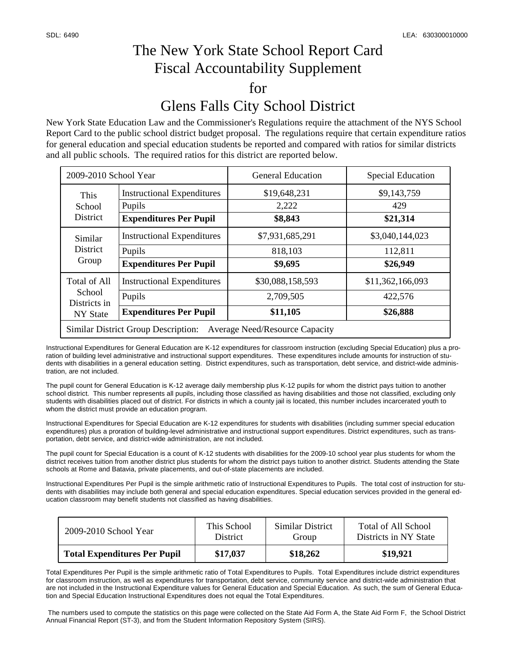## The New York State School Report Card Fiscal Accountability Supplement for Glens Falls City School District

New York State Education Law and the Commissioner's Regulations require the attachment of the NYS School Report Card to the public school district budget proposal. The regulations require that certain expenditure ratios for general education and special education students be reported and compared with ratios for similar districts and all public schools. The required ratios for this district are reported below.

| 2009-2010 School Year                                                        |                                   | <b>General Education</b> | <b>Special Education</b> |  |  |  |
|------------------------------------------------------------------------------|-----------------------------------|--------------------------|--------------------------|--|--|--|
| This<br>School<br><b>District</b>                                            | <b>Instructional Expenditures</b> | \$19,648,231             | \$9,143,759              |  |  |  |
|                                                                              | Pupils                            | 2,222                    | 429                      |  |  |  |
|                                                                              | <b>Expenditures Per Pupil</b>     | \$8,843                  | \$21,314                 |  |  |  |
| Similar<br><b>District</b><br>Group                                          | <b>Instructional Expenditures</b> | \$7,931,685,291          | \$3,040,144,023          |  |  |  |
|                                                                              | Pupils                            | 818,103                  | 112,811                  |  |  |  |
|                                                                              | <b>Expenditures Per Pupil</b>     | \$9,695                  | \$26,949                 |  |  |  |
| Total of All<br>School<br>Districts in<br>NY State                           | <b>Instructional Expenditures</b> | \$30,088,158,593         | \$11,362,166,093         |  |  |  |
|                                                                              | Pupils                            | 2,709,505                | 422,576                  |  |  |  |
|                                                                              | <b>Expenditures Per Pupil</b>     | \$11,105                 | \$26,888                 |  |  |  |
| Similar District Group Description:<br><b>Average Need/Resource Capacity</b> |                                   |                          |                          |  |  |  |

Instructional Expenditures for General Education are K-12 expenditures for classroom instruction (excluding Special Education) plus a proration of building level administrative and instructional support expenditures. These expenditures include amounts for instruction of students with disabilities in a general education setting. District expenditures, such as transportation, debt service, and district-wide administration, are not included.

The pupil count for General Education is K-12 average daily membership plus K-12 pupils for whom the district pays tuition to another school district. This number represents all pupils, including those classified as having disabilities and those not classified, excluding only students with disabilities placed out of district. For districts in which a county jail is located, this number includes incarcerated youth to whom the district must provide an education program.

Instructional Expenditures for Special Education are K-12 expenditures for students with disabilities (including summer special education expenditures) plus a proration of building-level administrative and instructional support expenditures. District expenditures, such as transportation, debt service, and district-wide administration, are not included.

The pupil count for Special Education is a count of K-12 students with disabilities for the 2009-10 school year plus students for whom the district receives tuition from another district plus students for whom the district pays tuition to another district. Students attending the State schools at Rome and Batavia, private placements, and out-of-state placements are included.

Instructional Expenditures Per Pupil is the simple arithmetic ratio of Instructional Expenditures to Pupils. The total cost of instruction for students with disabilities may include both general and special education expenditures. Special education services provided in the general education classroom may benefit students not classified as having disabilities.

| 2009-2010 School Year               | This School     | Similar District | Total of All School   |
|-------------------------------------|-----------------|------------------|-----------------------|
|                                     | <b>District</b> | Group            | Districts in NY State |
| <b>Total Expenditures Per Pupil</b> | \$17,037        | \$18,262         | \$19,921              |

Total Expenditures Per Pupil is the simple arithmetic ratio of Total Expenditures to Pupils. Total Expenditures include district expenditures for classroom instruction, as well as expenditures for transportation, debt service, community service and district-wide administration that are not included in the Instructional Expenditure values for General Education and Special Education. As such, the sum of General Education and Special Education Instructional Expenditures does not equal the Total Expenditures.

 The numbers used to compute the statistics on this page were collected on the State Aid Form A, the State Aid Form F, the School District Annual Financial Report (ST-3), and from the Student Information Repository System (SIRS).